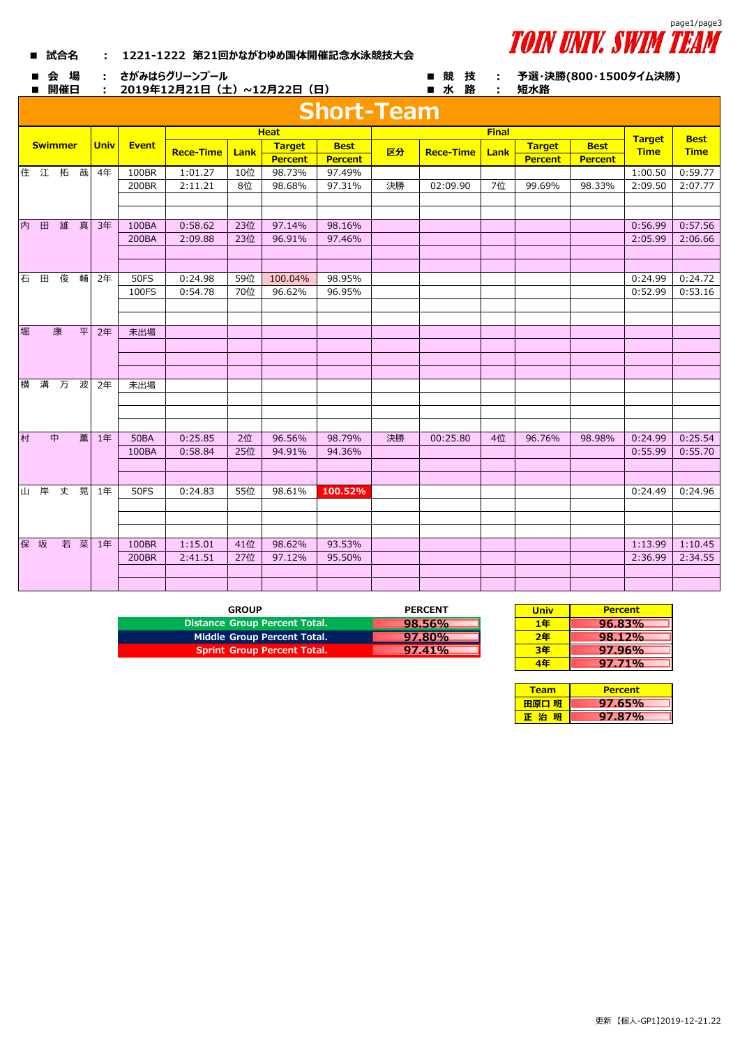

## **■ 試合名 : 1221-1222 第21回かながわゆめ国体開催記念水泳競技大会**

■ 会 場 : さがみはらグリーンプール ■ 競 技 :

■ 開催日 : 2019年12月21日(土)~12月22日(日) ■ 水 路 :

**予選・決勝(800・1500タイム決勝) 短水路**

|   |            |                |    |             |              |                  |      |                | <b>Short-Team</b> |    |                  |              |                |                |               |             |
|---|------------|----------------|----|-------------|--------------|------------------|------|----------------|-------------------|----|------------------|--------------|----------------|----------------|---------------|-------------|
|   |            |                |    |             |              |                  |      | <b>Heat</b>    |                   |    |                  | <b>Final</b> |                |                | <b>Target</b> | <b>Best</b> |
|   |            | <b>Swimmer</b> |    | <b>Univ</b> | <b>Event</b> | <b>Rece-Time</b> | Lank | <b>Target</b>  | <b>Best</b>       | 区分 | <b>Rece-Time</b> | Lank         | <b>Target</b>  | <b>Best</b>    | <b>Time</b>   | <b>Time</b> |
|   |            |                |    |             |              |                  |      | <b>Percent</b> | <b>Percent</b>    |    |                  |              | <b>Percent</b> | <b>Percent</b> |               |             |
|   | 住 江 拓      |                | 哉  | 4年          | 100BR        | 1:01.27          | 10位  | 98.73%         | 97.49%            |    |                  |              |                |                | 1:00.50       | 0:59.77     |
|   |            |                |    |             | 200BR        | 2:11.21          | 8位   | 98.68%         | 97.31%            | 決勝 | 02:09.90         | 7位           | 99.69%         | 98.33%         | 2:09.50       | 2:07.77     |
|   |            |                |    |             |              |                  |      |                |                   |    |                  |              |                |                |               |             |
|   |            |                |    |             |              |                  |      |                |                   |    |                  |              |                |                |               |             |
| 内 | 田          | 雄              | 真  | 3年          | 100BA        | 0:58.62          | 23位  | 97.14%         | 98.16%            |    |                  |              |                |                | 0:56.99       | 0:57.56     |
|   |            |                |    |             | 200BA        | 2:09.88          | 23位  | 96.91%         | 97.46%            |    |                  |              |                |                | 2:05.99       | 2:06.66     |
|   |            |                |    |             |              |                  |      |                |                   |    |                  |              |                |                |               |             |
|   |            |                |    |             |              |                  |      |                |                   |    |                  |              |                |                |               |             |
| 石 | $\boxplus$ | 俊              | 輔  | 2年          | <b>50FS</b>  | 0:24.98          | 59位  | 100.04%        | 98.95%            |    |                  |              |                |                | 0:24.99       | 0:24.72     |
|   |            |                |    |             | 100FS        | 0:54.78          | 70位  | 96.62%         | 96.95%            |    |                  |              |                |                | 0:52.99       | 0:53.16     |
|   |            |                |    |             |              |                  |      |                |                   |    |                  |              |                |                |               |             |
|   |            |                |    |             |              |                  |      |                |                   |    |                  |              |                |                |               |             |
| 堀 |            | 康              | 平  | 2年          | 未出場          |                  |      |                |                   |    |                  |              |                |                |               |             |
|   |            |                |    |             |              |                  |      |                |                   |    |                  |              |                |                |               |             |
|   |            |                |    |             |              |                  |      |                |                   |    |                  |              |                |                |               |             |
|   |            |                |    |             |              |                  |      |                |                   |    |                  |              |                |                |               |             |
|   | 横 溝        | 万              | 波  | 2年          | 未出場          |                  |      |                |                   |    |                  |              |                |                |               |             |
|   |            |                |    |             |              |                  |      |                |                   |    |                  |              |                |                |               |             |
|   |            |                |    |             |              |                  |      |                |                   |    |                  |              |                |                |               |             |
|   |            |                |    |             |              |                  |      |                |                   |    |                  |              |                |                |               |             |
| 村 |            | 中              | 薫  | 1年          | <b>50BA</b>  | 0:25.85          | 2位   | 96.56%         | 98.79%            | 決勝 | 00:25.80         | 4位           | 96.76%         | 98.98%         | 0:24.99       | 0:25.54     |
|   |            |                |    |             | 100BA        | 0:58.84          | 25位  | 94.91%         | 94.36%            |    |                  |              |                |                | 0:55.99       | 0:55.70     |
|   |            |                |    |             |              |                  |      |                |                   |    |                  |              |                |                |               |             |
|   |            | 山岸丈晃           |    |             |              |                  |      |                |                   |    |                  |              |                |                |               |             |
|   |            |                |    | 1年          | <b>50FS</b>  | 0:24.83          | 55位  | 98.61%         | 100.52%           |    |                  |              |                |                | 0:24.49       | 0:24.96     |
|   |            |                |    |             |              |                  |      |                |                   |    |                  |              |                |                |               |             |
|   |            |                |    |             |              |                  |      |                |                   |    |                  |              |                |                |               |             |
|   | 保 坂        |                | 若菜 | 1年          | 100BR        | 1:15.01          | 41位  | 98.62%         | 93.53%            |    |                  |              |                |                | 1:13.99       | 1:10.45     |
|   |            |                |    |             | 200BR        | 2:41.51          | 27位  | 97.12%         | 95.50%            |    |                  |              |                |                | 2:36.99       | 2:34.55     |
|   |            |                |    |             |              |                  |      |                |                   |    |                  |              |                |                |               |             |
|   |            |                |    |             |              |                  |      |                |                   |    |                  |              |                |                |               |             |
|   |            |                |    |             |              |                  |      |                |                   |    |                  |              |                |                |               |             |

| <b>GROUP</b>                         | <b>PERCENT</b> | <b>Univ</b> | <b>Percent</b> |
|--------------------------------------|----------------|-------------|----------------|
| <b>Distance Group Percent Total.</b> | 98.56%         | 1年          | 96.83%         |
| Middle Group Percent Total.          | $97.80\%$      | 2年          | 98.12%         |
| <b>Sprint Group Percent Total.</b>   | $97.41\%$      | 3年          | 97.96%         |

| <b>PERCENT</b> | <b>Univ</b> | <b>Percent</b> |
|----------------|-------------|----------------|
| 98.56%         | 1年          | $96.83\%$      |
| 97.80%         | 2年          | $98.12\%$      |
| <b>97.41%</b>  | 3年          | 97.96%         |
|                | 4年          | $97.71\%$      |

| <b>Team</b> | <b>Percent</b> |
|-------------|----------------|
| 田原口 班       | <b>97.65%</b>  |
|             | 97.87%         |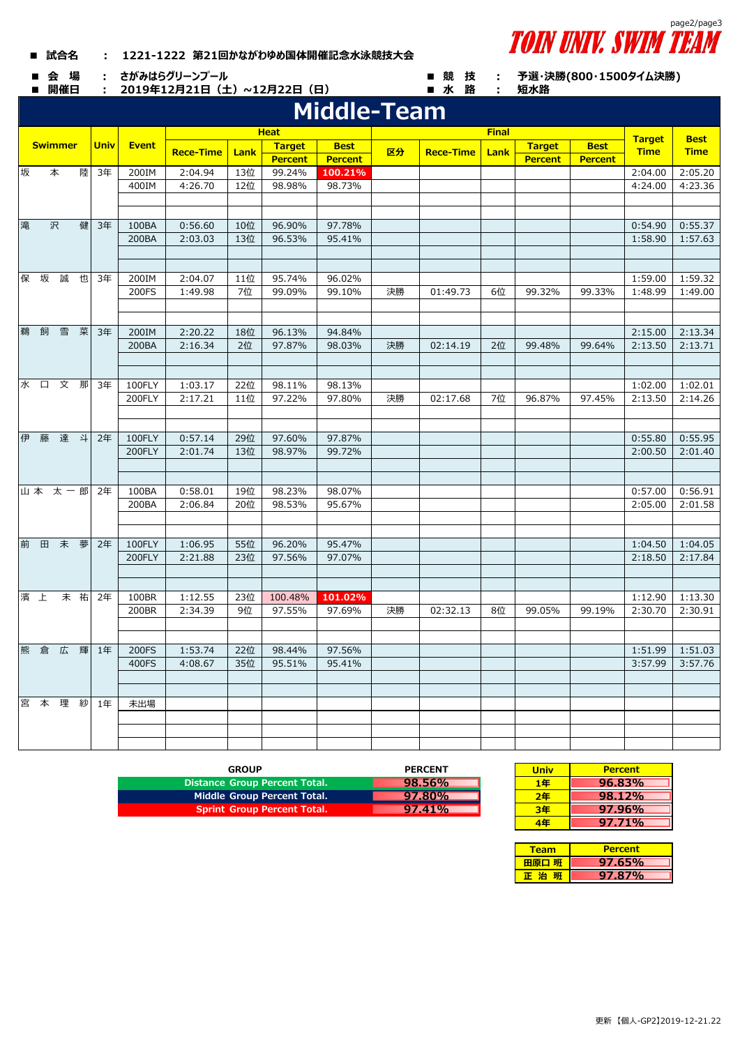| 1221-1222 第21回かながわゆめ国体開催記念水泳競技大会<br>■ 試合名 |  |
|-------------------------------------------|--|
|-------------------------------------------|--|

■ 会 場 : さがみはらグリーンプール ■ 競 技 :

■ 開催日 : 2019年12月21日(土)~12月22日(日) ■ 水 路 :

|   |     |                |    |             |              |                  |      |                | <b>Middle-Team</b> |    |                  |              |                |                |               |             |
|---|-----|----------------|----|-------------|--------------|------------------|------|----------------|--------------------|----|------------------|--------------|----------------|----------------|---------------|-------------|
|   |     |                |    |             |              |                  |      | <b>Heat</b>    |                    |    |                  | <b>Final</b> |                |                |               |             |
|   |     | <b>Swimmer</b> |    | <b>Univ</b> | <b>Event</b> |                  |      | <b>Target</b>  | <b>Best</b>        |    |                  |              | <b>Target</b>  | <b>Best</b>    | <b>Target</b> | <b>Best</b> |
|   |     |                |    |             |              | <b>Rece-Time</b> | Lank | <b>Percent</b> | <b>Percent</b>     | 区分 | <b>Rece-Time</b> | Lank         | <b>Percent</b> | <b>Percent</b> | <b>Time</b>   | <b>Time</b> |
| 坂 |     | 本              | 陸  | 3年          | 200IM        | 2:04.94          | 13位  | 99.24%         | 100.21%            |    |                  |              |                |                | 2:04.00       | 2:05.20     |
|   |     |                |    |             | 400IM        | 4:26.70          | 12位  | 98.98%         | 98.73%             |    |                  |              |                |                | 4:24.00       | 4:23.36     |
|   |     |                |    |             |              |                  |      |                |                    |    |                  |              |                |                |               |             |
|   |     |                |    |             |              |                  |      |                |                    |    |                  |              |                |                |               |             |
| 滝 |     | 沢              | 健  | 3年          | 100BA        | 0:56.60          | 10位  | 96.90%         | 97.78%             |    |                  |              |                |                | 0:54.90       | 0:55.37     |
|   |     |                |    |             | 200BA        | 2:03.03          | 13位  | 96.53%         | 95.41%             |    |                  |              |                |                | 1:58.90       | 1:57.63     |
|   |     |                |    |             |              |                  |      |                |                    |    |                  |              |                |                |               |             |
|   |     |                |    |             |              |                  |      |                |                    |    |                  |              |                |                |               |             |
|   | 保 坂 | 誠              | 也  | 3年          | 200IM        | 2:04.07          | 11位  | 95.74%         | 96.02%             |    |                  |              |                |                | 1:59.00       | 1:59.32     |
|   |     |                |    |             | 200FS        | 1:49.98          | 7位   | 99.09%         | 99.10%             | 決勝 | 01:49.73         | 6位           | 99.32%         | 99.33%         | 1:48.99       | 1:49.00     |
|   |     |                |    |             |              |                  |      |                |                    |    |                  |              |                |                |               |             |
| 鵜 | 飼   | 雪              | 菜  | 3年          | 200IM        | 2:20.22          | 18位  | 96.13%         | 94.84%             |    |                  |              |                |                | 2:15.00       | 2:13.34     |
|   |     |                |    |             | 200BA        | 2:16.34          | 2位   | 97.87%         | 98.03%             | 決勝 | 02:14.19         | 2位           | 99.48%         | 99.64%         | 2:13.50       | 2:13.71     |
|   |     |                |    |             |              |                  |      |                |                    |    |                  |              |                |                |               |             |
|   |     |                |    |             |              |                  |      |                |                    |    |                  |              |                |                |               |             |
|   |     | 水口文那           |    | 3年          | 100FLY       | 1:03.17          | 22位  | 98.11%         | 98.13%             |    |                  |              |                |                | 1:02.00       | 1:02.01     |
|   |     |                |    |             | 200FLY       | 2:17.21          | 11位  | 97.22%         | 97.80%             | 決勝 | 02:17.68         | 7位           | 96.87%         | 97.45%         | 2:13.50       | 2:14.26     |
|   |     |                |    |             |              |                  |      |                |                    |    |                  |              |                |                |               |             |
|   |     |                |    |             |              |                  |      |                |                    |    |                  |              |                |                |               |             |
|   |     | 伊藤達斗           |    | 2年          | 100FLY       | 0:57.14          | 29位  | 97.60%         | 97.87%             |    |                  |              |                |                | 0:55.80       | 0:55.95     |
|   |     |                |    |             | 200FLY       | 2:01.74          | 13位  | 98.97%         | 99.72%             |    |                  |              |                |                | 2:00.50       | 2:01.40     |
|   |     |                |    |             |              |                  |      |                |                    |    |                  |              |                |                |               |             |
|   |     |                |    |             |              |                  |      |                |                    |    |                  |              |                |                |               |             |
|   |     | 山本太一郎          |    | 2年          | 100BA        | 0:58.01          | 19位  | 98.23%         | 98.07%             |    |                  |              |                |                | 0:57.00       | 0:56.91     |
|   |     |                |    |             | 200BA        | 2:06.84          | 20位  | 98.53%         | 95.67%             |    |                  |              |                |                | 2:05.00       | 2:01.58     |
|   |     |                |    |             |              |                  |      |                |                    |    |                  |              |                |                |               |             |
|   |     | 前田未夢           |    | 2年          | 100FLY       | 1:06.95          | 55位  | 96.20%         | 95.47%             |    |                  |              |                |                | 1:04.50       | 1:04.05     |
|   |     |                |    |             | 200FLY       | 2:21.88          | 23位  | 97.56%         | 97.07%             |    |                  |              |                |                | 2:18.50       | 2:17.84     |
|   |     |                |    |             |              |                  |      |                |                    |    |                  |              |                |                |               |             |
|   |     |                |    |             |              |                  |      |                |                    |    |                  |              |                |                |               |             |
|   | 濱上  |                | 未祐 | 2年          | 100BR        | 1:12.55          | 23位  | 100.48%        | 101.02%            |    |                  |              |                |                | 1:12.90       | 1:13.30     |
|   |     |                |    |             | 200BR        | 2:34.39          | 9位   | 97.55%         | 97.69%             | 決勝 | 02:32.13         | 8位           | 99.05%         | 99.19%         | 2:30.70       | 2:30.91     |
|   |     |                |    |             |              |                  |      |                |                    |    |                  |              |                |                |               |             |
|   |     |                |    |             |              |                  |      |                |                    |    |                  |              |                |                |               |             |
|   |     | 熊倉広            | 輝  | 1年          | 200FS        | 1:53.74          | 22位  | 98.44%         | 97.56%             |    |                  |              |                |                | 1:51.99       | 1:51.03     |
|   |     |                |    |             | 400FS        | 4:08.67          | 35位  | 95.51%         | 95.41%             |    |                  |              |                |                | 3:57.99       | 3:57.76     |
|   |     |                |    |             |              |                  |      |                |                    |    |                  |              |                |                |               |             |
|   |     |                |    |             |              |                  |      |                |                    |    |                  |              |                |                |               |             |
|   |     | 宮本理紗           |    | 1年          | 未出場          |                  |      |                |                    |    |                  |              |                |                |               |             |
|   |     |                |    |             |              |                  |      |                |                    |    |                  |              |                |                |               |             |
|   |     |                |    |             |              |                  |      |                |                    |    |                  |              |                |                |               |             |
|   |     |                |    |             |              |                  |      |                |                    |    |                  |              |                |                |               |             |

| GROUP                                | <b>PERCENT</b> | <b>Univ</b> | <b>Percent</b> |
|--------------------------------------|----------------|-------------|----------------|
| <b>Distance Group Percent Total.</b> | 98.56%         | 1年          | 96.83%         |
| Middle Group Percent Total.          | 97.80%         | 2年          | 98.12%         |
| <b>Sprint Group Percent Total.</b>   | $97.41\%$      | 3年          | 97.96%         |
|                                      |                |             |                |

| <b>PERCENT</b> | <b>Univ</b> | <b>Percent</b> |
|----------------|-------------|----------------|
| 98.56%         | 1年          | $96.83\%$      |
| 97.80%         | 2年          | 98.12%         |
| <b>97.41%</b>  | 3年          | $97.96\%$      |
|                | 1年          | 97.71%         |

| Team  | <b>Percent</b> |
|-------|----------------|
| 用原口 班 | $97.65\%$      |
|       | 97.87%         |



**予選・決勝(800・1500タイム決勝)**

**短水路**